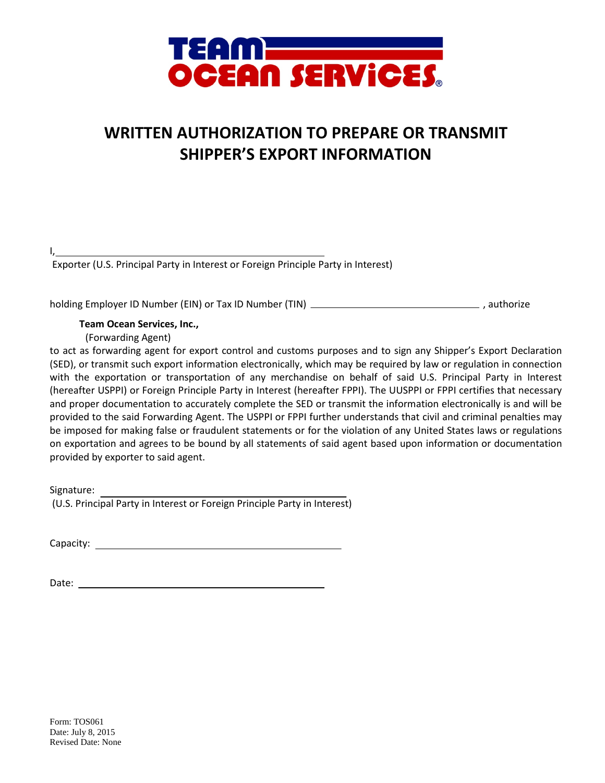

## **WRITTEN AUTHORIZATION TO PREPARE OR TRANSMIT SHIPPER'S EXPORT INFORMATION**

| Exporter (U.S. Principal Party in Interest or Foreign Principle Party in Interest) |
|------------------------------------------------------------------------------------|

holding Employer ID Number (EIN) or Tax ID Number (TIN)  $\overline{\phantom{a} \phantom{a}}$  , authorize

 **Team Ocean Services, Inc.,**

(Forwarding Agent)

to act as forwarding agent for export control and customs purposes and to sign any Shipper's Export Declaration (SED), or transmit such export information electronically, which may be required by law or regulation in connection with the exportation or transportation of any merchandise on behalf of said U.S. Principal Party in Interest (hereafter USPPI) or Foreign Principle Party in Interest (hereafter FPPI). The UUSPPI or FPPI certifies that necessary and proper documentation to accurately complete the SED or transmit the information electronically is and will be provided to the said Forwarding Agent. The USPPI or FPPI further understands that civil and criminal penalties may be imposed for making false or fraudulent statements or for the violation of any United States laws or regulations on exportation and agrees to be bound by all statements of said agent based upon information or documentation provided by exporter to said agent.

Signature: (U.S. Principal Party in Interest or Foreign Principle Party in Interest)

Capacity:

Date: when the contract of the contract of the contract of the contract of the contract of the contract of the contract of the contract of the contract of the contract of the contract of the contract of the contract of the